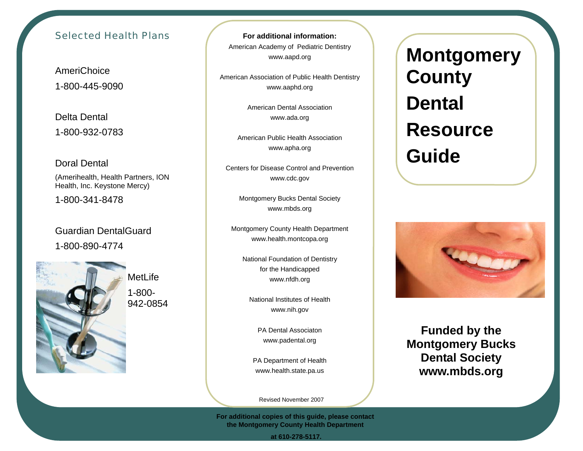## Selected Health Plans

AmeriChoice 1-800-445-9090

Delta Dental 1-800-932-0783

Doral Dental (Amerihealth, Health Partners, ION

Health, Inc. Keystone Mercy)

1-800-341-8478

Guardian DentalGuard 1-800-890-4774



MetLife 1-800-942-0854

**For additional information:** American Academy of Pediatric Dentistry www.aapd.org

American Association of Public Health Dentistry www.aaphd.org

> American Dental Association www.ada.org

American Public Health Association www.apha.org

Centers for Disease Control and Prevention www.cdc.gov

> Montgomery Bucks Dental Society www.mbds.org

Montgomery County Health Department www.health.montcopa.org

> National Foundation of Dentistry for the Handicapped www.nfdh.org

National Institutes of Health www.nih.gov

PA Dental Associaton www.padental.org

PA Department of Health www.health.state.pa.us

Revised November 2007

**For additional copies of this guide, please contact the Montgomery County Health Department** 

**Montgomery County Dental Resource Guide** 



**Funded by the Montgomery Bucks Dental Society www.mbds.org** 

 **at 610-278-5117.**